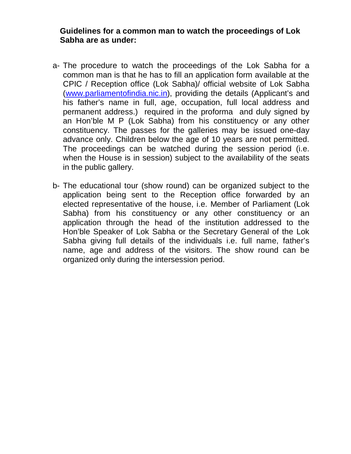## **Guidelines for a common man to watch the proceedings of Lok Sabha are as under:**

- a- The procedure to watch the proceedings of the Lok Sabha for a common man is that he has to fill an application form available at the CPIC / Reception office (Lok Sabha)/ official website of Lok Sabha [\(www.parliamentofindia.nic.in\)](http://www.parliamentofindia.nic.in/), providing the details (Applicant's and his father's name in full, age, occupation, full local address and permanent address.) required in the proforma and duly signed by an Hon'ble M P (Lok Sabha) from his constituency or any other constituency. The passes for the galleries may be issued one-day advance only. Children below the age of 10 years are not permitted. The proceedings can be watched during the session period (i.e. when the House is in session) subject to the availability of the seats in the public gallery.
- b- The educational tour (show round) can be organized subject to the application being sent to the Reception office forwarded by an elected representative of the house, i.e. Member of Parliament (Lok Sabha) from his constituency or any other constituency or an application through the head of the institution addressed to the Hon'ble Speaker of Lok Sabha or the Secretary General of the Lok Sabha giving full details of the individuals i.e. full name, father's name, age and address of the visitors. The show round can be organized only during the intersession period.